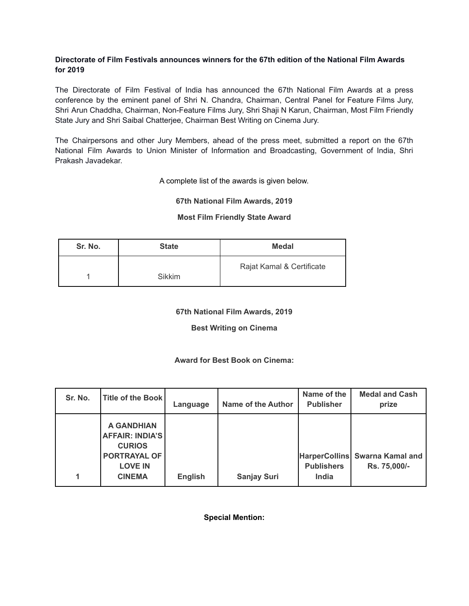#### **Directorate of Film Festivals announces winners for the 67th edition of the National Film Awards for 2019**

The Directorate of Film Festival of India has announced the 67th National Film Awards at a press conference by the eminent panel of Shri N. Chandra, Chairman, Central Panel for Feature Films Jury, Shri Arun Chaddha, Chairman, Non-Feature Films Jury, Shri Shaji N Karun, Chairman, Most Film Friendly State Jury and Shri Saibal Chatterjee, Chairman Best Writing on Cinema Jury.

The Chairpersons and other Jury Members, ahead of the press meet, submitted a report on the 67th National Film Awards to Union Minister of Information and Broadcasting, Government of India, Shri Prakash Javadekar.

A complete list of the awards is given below.

#### **67th National Film Awards, 2019**

#### **Most Film Friendly State Award**

| Sr. No. | <b>State</b> | Medal                     |
|---------|--------------|---------------------------|
|         | Sikkim       | Rajat Kamal & Certificate |

## **67th National Film Awards, 2019**

## **Best Writing on Cinema**

## **Award for Best Book on Cinema:**

| Sr. No. | <b>Title of the Book</b>                                                                                               | Language       | <b>Name of the Author</b> | Name of the<br><b>Publisher</b> | <b>Medal and Cash</b><br>prize                 |
|---------|------------------------------------------------------------------------------------------------------------------------|----------------|---------------------------|---------------------------------|------------------------------------------------|
| 1       | <b>A GANDHIAN</b><br><b>AFFAIR: INDIA'S</b><br><b>CURIOS</b><br><b>PORTRAYAL OF</b><br><b>LOVE IN</b><br><b>CINEMA</b> | <b>English</b> | <b>Sanjay Suri</b>        | <b>Publishers</b><br>India      | HarperCollins Swarna Kamal and<br>Rs. 75,000/- |

**Special Mention:**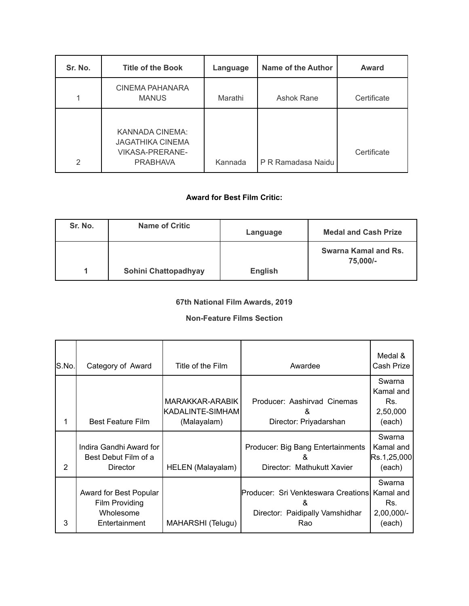| Sr. No. | <b>Title of the Book</b>                                                                | Language | Name of the Author | <b>Award</b> |
|---------|-----------------------------------------------------------------------------------------|----------|--------------------|--------------|
|         | <b>CINEMA PAHANARA</b><br><b>MANUS</b>                                                  | Marathi  | Ashok Rane         | Certificate  |
| 2       | KANNADA CINEMA:<br><b>JAGATHIKA CINEMA</b><br><b>VIKASA-PRERANE-</b><br><b>PRABHAVA</b> | Kannada  | P R Ramadasa Naidu | Certificate  |

## **Award for Best Film Critic:**

| Sr. No. | <b>Name of Critic</b> | Language       | <b>Medal and Cash Prize</b>      |
|---------|-----------------------|----------------|----------------------------------|
|         | Sohini Chattopadhyay  | <b>English</b> | Swarna Kamal and Rs.<br>75,000/- |

# **67th National Film Awards, 2019**

## **Non-Feature Films Section**

| S.No. | Category of Award                                                      | Title of the Film                                  | Awardee                                                                            | Medal &<br>Cash Prize                                |
|-------|------------------------------------------------------------------------|----------------------------------------------------|------------------------------------------------------------------------------------|------------------------------------------------------|
| 1     | <b>Best Feature Film</b>                                               | MARAKKAR-ARABIK<br>KADALINTE-SIMHAM<br>(Malayalam) | Producer: Aashirvad Cinemas<br>&<br>Director: Priyadarshan                         | Swarna<br>Kamal and<br>Rs.<br>2,50,000<br>(each)     |
| 2     | Indira Gandhi Award for<br>Best Debut Film of a<br><b>Director</b>     | HELEN (Malayalam)                                  | Producer: Big Bang Entertainments<br>&<br>Director: Mathukutt Xavier               | Swarna<br>Kamal and<br>Rs.1,25,000<br>(each)         |
| 3     | Award for Best Popular<br>Film Providing<br>Wholesome<br>Entertainment | MAHARSHI (Telugu)                                  | Producer: Sri Venkteswara Creations<br>&<br>Director: Paidipally Vamshidhar<br>Rao | Swarna<br>Kamal and<br>Rs.<br>$2,00,000/-$<br>(each) |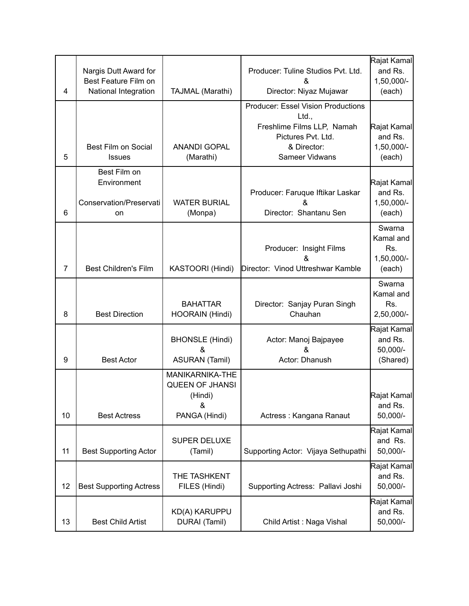| 4              | Nargis Dutt Award for<br>Best Feature Film on<br>National Integration | TAJMAL (Marathi)                                                           | Rajat Kamal<br>Producer: Tuline Studios Pvt. Ltd.<br>&<br>Director: Niyaz Mujawar                                                       |                                                    |
|----------------|-----------------------------------------------------------------------|----------------------------------------------------------------------------|-----------------------------------------------------------------------------------------------------------------------------------------|----------------------------------------------------|
| 5              | <b>Best Film on Social</b><br><b>Issues</b>                           | <b>ANANDI GOPAL</b><br>(Marathi)                                           | <b>Producer: Essel Vision Productions</b><br>Ltd.,<br>Freshlime Films LLP, Namah<br>Pictures Pvt. Ltd.<br>& Director:<br>Sameer Vidwans | Rajat Kamal<br>and Rs.<br>1,50,000/-<br>(each)     |
| 6              | Best Film on<br>Environment<br>Conservation/Preservati<br>on          | <b>WATER BURIAL</b><br>(Monpa)                                             | Producer: Faruque Iftikar Laskar<br>&<br>Director: Shantanu Sen                                                                         | Rajat Kamal<br>and Rs.<br>1,50,000/-<br>(each)     |
| $\overline{7}$ | <b>Best Children's Film</b>                                           | KASTOORI (Hindi)                                                           | Producer: Insight Films<br>&<br>Director: Vinod Uttreshwar Kamble                                                                       | Swarna<br>Kamal and<br>Rs.<br>1,50,000/-<br>(each) |
| 8              | <b>Best Direction</b>                                                 | <b>BAHATTAR</b><br>HOORAIN (Hindi)                                         | Director: Sanjay Puran Singh<br>Chauhan                                                                                                 | Swarna<br>Kamal and<br>Rs.<br>2,50,000/-           |
| 9              | <b>Best Actor</b>                                                     | <b>BHONSLE (Hindi)</b><br>&<br><b>ASURAN (Tamil)</b>                       | Actor: Manoj Bajpayee<br>Actor: Dhanush                                                                                                 | Rajat Kamal<br>and Rs.<br>50,000/-<br>(Shared)     |
| 10             | <b>Best Actress</b>                                                   | MANIKARNIKA-THE<br><b>QUEEN OF JHANSI</b><br>(Hindi)<br>&<br>PANGA (Hindi) | Actress: Kangana Ranaut                                                                                                                 | Rajat Kamal<br>and Rs.<br>50,000/-                 |
| 11             | <b>Best Supporting Actor</b>                                          | <b>SUPER DELUXE</b><br>(Tamil)                                             | Supporting Actor: Vijaya Sethupathi                                                                                                     | Rajat Kamal<br>and Rs.<br>50,000/-                 |
| 12             | <b>Best Supporting Actress</b>                                        | THE TASHKENT<br>FILES (Hindi)                                              | Supporting Actress: Pallavi Joshi                                                                                                       | Rajat Kamal<br>and Rs.<br>50,000/-                 |
| 13             | <b>Best Child Artist</b>                                              | <b>KD(A) KARUPPU</b><br>DURAI (Tamil)                                      | Child Artist: Naga Vishal                                                                                                               | Rajat Kamal<br>and Rs.<br>50,000/-                 |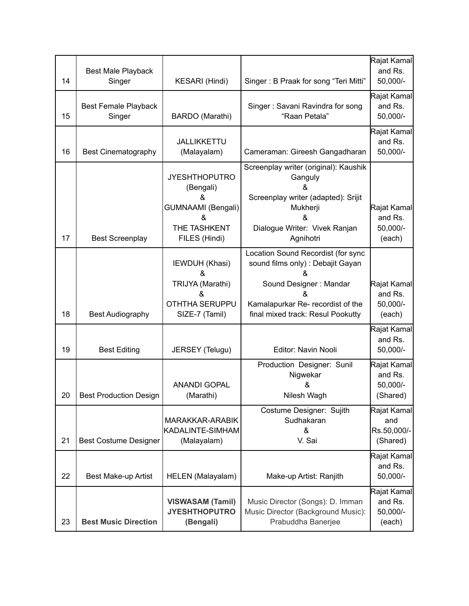| 14 | Best Male Playback<br>Singer          | KESARI (Hindi)                                                                                     | Singer: B Praak for song "Teri Mitti"                                                                                                                                                 | Rajat Kamal<br>and Rs.<br>50,000/-             |
|----|---------------------------------------|----------------------------------------------------------------------------------------------------|---------------------------------------------------------------------------------------------------------------------------------------------------------------------------------------|------------------------------------------------|
| 15 | <b>Best Female Playback</b><br>Singer | BARDO (Marathi)                                                                                    | Singer: Savani Ravindra for song<br>"Raan Petala"                                                                                                                                     | Rajat Kamal<br>and Rs.<br>50,000/-             |
| 16 | <b>Best Cinematography</b>            | JALLIKKETTU<br>(Malayalam)                                                                         | Cameraman: Gireesh Gangadharan                                                                                                                                                        | Rajat Kamal<br>and Rs.<br>50,000/-             |
| 17 | <b>Best Screenplay</b>                | <b>JYESHTHOPUTRO</b><br>(Bengali)<br>&<br>GUMNAAMI (Bengali)<br>&<br>THE TASHKENT<br>FILES (Hindi) | Screenplay writer (original): Kaushik<br>Ganguly<br>&<br>Screenplay writer (adapted): Srijit<br>Mukherji<br>&<br>Dialogue Writer: Vivek Ranjan<br>Agnihotri                           | Rajat Kamal<br>and Rs.<br>50,000/-<br>(each)   |
| 18 | <b>Best Audiography</b>               | IEWDUH (Khasi)<br>&<br>TRIJYA (Marathi)<br>&<br><b>OTHTHA SERUPPU</b><br>SIZE-7 (Tamil)            | Location Sound Recordist (for sync<br>sound films only) : Debajit Gayan<br>&<br>Sound Designer: Mandar<br>&<br>Kamalapurkar Re- recordist of the<br>final mixed track: Resul Pookutty | Rajat Kamal<br>and Rs.<br>50,000/-<br>(each)   |
| 19 | <b>Best Editing</b>                   | JERSEY (Telugu)                                                                                    | Editor: Navin Nooli                                                                                                                                                                   | Rajat Kamal<br>and Rs.<br>50,000/-             |
| 20 | <b>Best Production Design</b>         | <b>ANANDI GOPAL</b><br>(Marathi)                                                                   | Production Designer: Sunil<br>Nigwekar<br>&<br>Nilesh Wagh                                                                                                                            | Rajat Kamal<br>and Rs.<br>50,000/-<br>(Shared) |
| 21 | <b>Best Costume Designer</b>          | MARAKKAR-ARABIK<br>KADALINTE-SIMHAM<br>(Malayalam)                                                 | Costume Designer: Sujith<br>Sudhakaran<br>&<br>V. Sai                                                                                                                                 | Rajat Kamal<br>and<br>Rs.50,000/-<br>(Shared)  |
| 22 | Best Make-up Artist                   | HELEN (Malayalam)                                                                                  | Make-up Artist: Ranjith                                                                                                                                                               | Rajat Kamal<br>and Rs.<br>50,000/-             |
| 23 | <b>Best Music Direction</b>           | <b>VISWASAM (Tamil)</b><br><b>JYESHTHOPUTRO</b><br>(Bengali)                                       | Music Director (Songs): D. Imman<br>Music Director (Background Music):<br>Prabuddha Banerjee                                                                                          | Rajat Kamal<br>and Rs.<br>50,000/-<br>(each)   |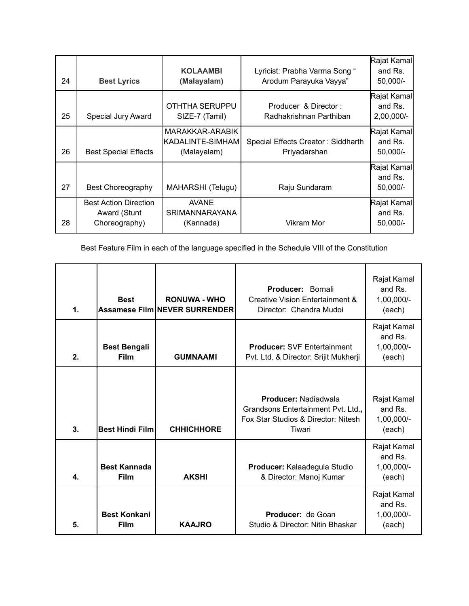| 24 | <b>Best Lyrics</b>                                            | <b>KOLAAMBI</b><br>(Malayalam)                       | Lyricist: Prabha Varma Song "<br>Arodum Parayuka Vayya" | Rajat Kamal<br>and Rs.<br>50,000/-   |
|----|---------------------------------------------------------------|------------------------------------------------------|---------------------------------------------------------|--------------------------------------|
| 25 | Special Jury Award                                            | OTHTHA SERUPPU<br>SIZE-7 (Tamil)                     | Producer & Director:<br>Radhakrishnan Parthiban         | Rajat Kamal<br>and Rs.<br>2,00,000/- |
| 26 | <b>Best Special Effects</b>                                   | MARAKKAR-ARABIK<br> KADALINTE-SIMHAM <br>(Malayalam) | Special Effects Creator: Siddharth<br>Priyadarshan      | Rajat Kamal<br>and Rs.<br>50,000/-   |
| 27 | <b>Best Choreography</b>                                      | MAHARSHI (Telugu)                                    | Raju Sundaram                                           | Rajat Kamal<br>and Rs.<br>50,000/-   |
| 28 | <b>Best Action Direction</b><br>Award (Stunt<br>Choreography) | <b>AVANE</b><br><b>SRIMANNARAYANA</b><br>(Kannada)   | Vikram Mor                                              | Rajat Kamal<br>and Rs.<br>50,000/-   |

Best Feature Film in each of the language specified in the Schedule VIII of the Constitution

| $\mathbf 1$ . | <b>Best</b>                        | <b>RONUWA - WHO</b><br><b>Assamese Film NEVER SURRENDER</b> | Producer: Bornali<br>Creative Vision Entertainment &<br>Director: Chandra Mudoi                                    | Rajat Kamal<br>and Rs.<br>1,00,000/-<br>(each) |
|---------------|------------------------------------|-------------------------------------------------------------|--------------------------------------------------------------------------------------------------------------------|------------------------------------------------|
| 2.            | <b>Best Bengali</b><br><b>Film</b> | <b>GUMNAAMI</b>                                             | <b>Producer: SVF Entertainment</b><br>Pvt. Ltd. & Director: Srijit Mukherji                                        | Rajat Kamal<br>and Rs.<br>1,00,000/-<br>(each) |
| 3.            | <b>Best Hindi Film</b>             | <b>CHHICHHORE</b>                                           | <b>Producer: Nadiadwala</b><br>Grandsons Entertainment Pvt. Ltd.,<br>Fox Star Studios & Director: Nitesh<br>Tiwari | Rajat Kamal<br>and Rs.<br>1,00,000/-<br>(each) |
| 4.            | <b>Best Kannada</b><br>Film        | <b>AKSHI</b>                                                | Producer: Kalaadegula Studio<br>& Director: Manoj Kumar                                                            | Rajat Kamal<br>and Rs.<br>1,00,000/-<br>(each) |
| 5.            | <b>Best Konkani</b><br>Film        | <b>KAAJRO</b>                                               | <b>Producer:</b> de Goan<br>Studio & Director: Nitin Bhaskar                                                       | Rajat Kamal<br>and Rs.<br>1,00,000/-<br>(each) |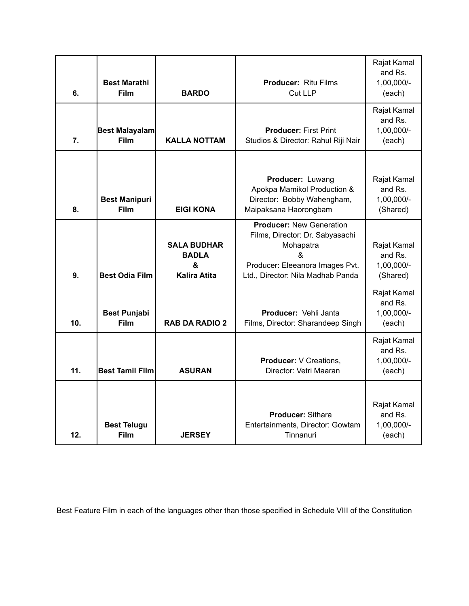| 6.              | <b>Best Marathi</b><br><b>Film</b>  | <b>BARDO</b>                                                   | <b>Producer: Ritu Films</b><br><b>Cut LLP</b>                                                                                                                | Rajat Kamal<br>and Rs.<br>1,00,000/-<br>(each)   |
|-----------------|-------------------------------------|----------------------------------------------------------------|--------------------------------------------------------------------------------------------------------------------------------------------------------------|--------------------------------------------------|
| 7.              | Best Malayalam<br><b>Film</b>       | <b>KALLA NOTTAM</b>                                            | <b>Producer: First Print</b><br>Studios & Director: Rahul Riji Nair                                                                                          | Rajat Kamal<br>and Rs.<br>1,00,000/-<br>(each)   |
| 8.              | <b>Best Manipuri</b><br><b>Film</b> | <b>EIGI KONA</b>                                               | Producer: Luwang<br>Apokpa Mamikol Production &<br>Director: Bobby Wahengham,<br>Maipaksana Haorongbam                                                       | Rajat Kamal<br>and Rs.<br>1,00,000/-<br>(Shared) |
| 9.              | <b>Best Odia Film</b>               | <b>SALA BUDHAR</b><br><b>BADLA</b><br>&<br><b>Kalira Atita</b> | <b>Producer: New Generation</b><br>Films, Director: Dr. Sabyasachi<br>Mohapatra<br>&<br>Producer: Eleeanora Images Pvt.<br>Ltd., Director: Nila Madhab Panda | Rajat Kamal<br>and Rs.<br>1,00,000/-<br>(Shared) |
| 10 <sub>1</sub> | <b>Best Punjabi</b><br><b>Film</b>  | <b>RAB DA RADIO 2</b>                                          | <b>Producer: Vehli Janta</b><br>Films, Director: Sharandeep Singh                                                                                            | Rajat Kamal<br>and Rs.<br>1,00,000/-<br>(each)   |
| 11.             | <b>Best Tamil Film</b>              | <b>ASURAN</b>                                                  | <b>Producer:</b> V Creations.<br>Director: Vetri Maaran                                                                                                      | Rajat Kamal<br>and Rs.<br>1,00,000/-<br>(each)   |
| 12.             | <b>Best Telugu</b><br><b>Film</b>   | <b>JERSEY</b>                                                  | Producer: Sithara<br>Entertainments, Director: Gowtam<br>Tinnanuri                                                                                           | Rajat Kamal<br>and Rs.<br>1,00,000/-<br>(each)   |

Best Feature Film in each of the languages other than those specified in Schedule VIII of the Constitution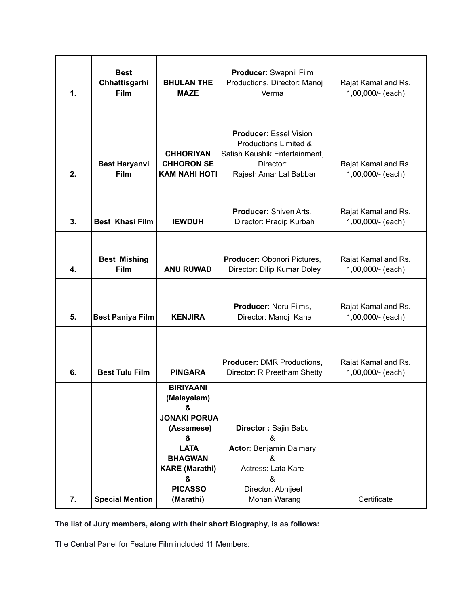| 1. | <b>Best</b><br>Chhattisgarhi<br>Film | <b>BHULAN THE</b><br><b>MAZE</b>                                                                                                                                             | Producer: Swapnil Film<br>Productions, Director: Manoj<br>Verma                                                                   | Rajat Kamal and Rs.<br>1,00,000/- (each) |
|----|--------------------------------------|------------------------------------------------------------------------------------------------------------------------------------------------------------------------------|-----------------------------------------------------------------------------------------------------------------------------------|------------------------------------------|
| 2. | <b>Best Haryanvi</b><br><b>Film</b>  | <b>CHHORIYAN</b><br><b>CHHORON SE</b><br><b>KAM NAHI HOTI</b>                                                                                                                | <b>Producer: Essel Vision</b><br>Productions Limited &<br>Satish Kaushik Entertainment,<br>Director:<br>Rajesh Amar Lal Babbar    | Rajat Kamal and Rs.<br>1,00,000/- (each) |
| 3. | <b>Best Khasi Film</b>               | <b>IEWDUH</b>                                                                                                                                                                | Producer: Shiven Arts,<br>Director: Pradip Kurbah                                                                                 | Rajat Kamal and Rs.<br>1,00,000/- (each) |
| 4. | <b>Best Mishing</b><br><b>Film</b>   | <b>ANU RUWAD</b>                                                                                                                                                             | Producer: Obonori Pictures,<br>Director: Dilip Kumar Doley                                                                        | Rajat Kamal and Rs.<br>1,00,000/- (each) |
| 5. | <b>Best Paniya Film</b>              | <b>KENJIRA</b>                                                                                                                                                               | Producer: Neru Films,<br>Director: Manoj Kana                                                                                     | Rajat Kamal and Rs.<br>1,00,000/- (each) |
| 6. | <b>Best Tulu Film</b>                | <b>PINGARA</b>                                                                                                                                                               | <b>Producer: DMR Productions,</b><br>Director: R Preetham Shetty                                                                  | Rajat Kamal and Rs.<br>1,00,000/- (each) |
| 7. | <b>Special Mention</b>               | <b>BIRIYAANI</b><br>(Malayalam)<br>&<br><b>JONAKI PORUA</b><br>(Assamese)<br>&<br><b>LATA</b><br><b>BHAGWAN</b><br><b>KARE (Marathi)</b><br>&<br><b>PICASSO</b><br>(Marathi) | Director: Sajin Babu<br>&<br><b>Actor: Benjamin Daimary</b><br>&<br>Actress: Lata Kare<br>&<br>Director: Abhijeet<br>Mohan Warang | Certificate                              |

**The list of Jury members, along with their short Biography, is as follows:**

The Central Panel for Feature Film included 11 Members: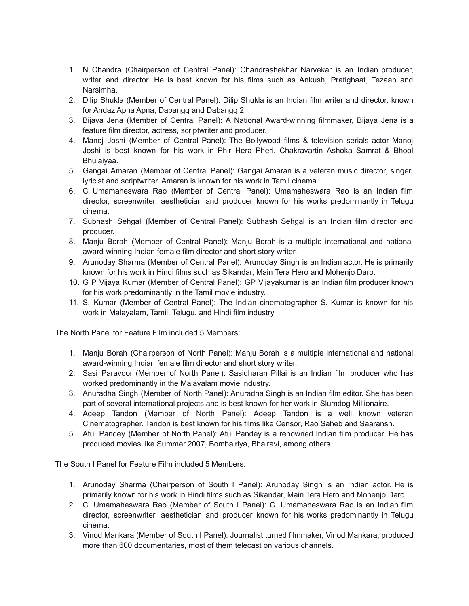- 1. N Chandra (Chairperson of Central Panel): Chandrashekhar Narvekar is an Indian producer, writer and director. He is best known for his films such as Ankush, Pratighaat, Tezaab and Narsimha.
- 2. Dilip Shukla (Member of Central Panel): Dilip Shukla is an Indian film writer and director, known for Andaz Apna Apna, Dabangg and Dabangg 2.
- 3. Bijaya Jena (Member of Central Panel): A National Award-winning filmmaker, Bijaya Jena is a feature film director, actress, scriptwriter and producer.
- 4. Manoj Joshi (Member of Central Panel): The Bollywood films & television serials actor Manoj Joshi is best known for his work in Phir Hera Pheri, Chakravartin Ashoka Samrat & Bhool Bhulaiyaa.
- 5. Gangai Amaran (Member of Central Panel): Gangai Amaran is a veteran music director, singer, lyricist and scriptwriter. Amaran is known for his work in Tamil cinema.
- 6. C Umamaheswara Rao (Member of Central Panel): Umamaheswara Rao is an Indian film director, screenwriter, aesthetician and producer known for his works predominantly in Telugu cinema.
- 7. Subhash Sehgal (Member of Central Panel): Subhash Sehgal is an Indian film director and producer.
- 8. Manju Borah (Member of Central Panel): Manju Borah is a multiple international and national award-winning Indian female film director and short story writer.
- 9. Arunoday Sharma (Member of Central Panel): Arunoday Singh is an Indian actor. He is primarily known for his work in Hindi films such as Sikandar, Main Tera Hero and Mohenjo Daro.
- 10. G P Vijaya Kumar (Member of Central Panel): GP Vijayakumar is an Indian film producer known for his work predominantly in the Tamil movie industry.
- 11. S. Kumar (Member of Central Panel): The Indian cinematographer S. Kumar is known for his work in Malayalam, Tamil, Telugu, and Hindi film industry

The North Panel for Feature Film included 5 Members:

- 1. Manju Borah (Chairperson of North Panel): Manju Borah is a multiple international and national award-winning Indian female film director and short story writer.
- 2. Sasi Paravoor (Member of North Panel): Sasidharan Pillai is an Indian film producer who has worked predominantly in the Malayalam movie industry.
- 3. Anuradha Singh (Member of North Panel): Anuradha Singh is an Indian film editor. She has been part of several international projects and is best known for her work in Slumdog Millionaire.
- 4. Adeep Tandon (Member of North Panel): Adeep Tandon is a well known veteran Cinematographer. Tandon is best known for his films like Censor, Rao Saheb and Saaransh.
- 5. Atul Pandey (Member of North Panel): Atul Pandey is a renowned Indian film producer. He has produced movies like Summer 2007, Bombairiya, Bhairavi, among others.

The South I Panel for Feature Film included 5 Members:

- 1. Arunoday Sharma (Chairperson of South I Panel): Arunoday Singh is an Indian actor. He is primarily known for his work in Hindi films such as Sikandar, Main Tera Hero and Mohenjo Daro.
- 2. C. Umamaheswara Rao (Member of South I Panel): C. Umamaheswara Rao is an Indian film director, screenwriter, aesthetician and producer known for his works predominantly in Telugu cinema.
- 3. Vinod Mankara (Member of South I Panel): Journalist turned filmmaker, Vinod Mankara, produced more than 600 documentaries, most of them telecast on various channels.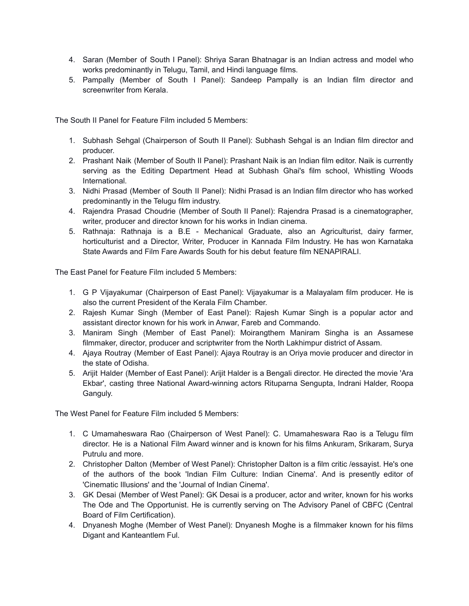- 4. Saran (Member of South I Panel): Shriya Saran Bhatnagar is an Indian actress and model who works predominantly in Telugu, Tamil, and Hindi language films.
- 5. Pampally (Member of South I Panel): Sandeep Pampally is an Indian film director and screenwriter from Kerala.

The South II Panel for Feature Film included 5 Members:

- 1. Subhash Sehgal (Chairperson of South II Panel): Subhash Sehgal is an Indian film director and producer.
- 2. Prashant Naik (Member of South II Panel): Prashant Naik is an Indian film editor. Naik is currently serving as the Editing Department Head at Subhash Ghai's film school, Whistling Woods International.
- 3. Nidhi Prasad (Member of South II Panel): Nidhi Prasad is an Indian film director who has worked predominantly in the Telugu film industry.
- 4. Rajendra Prasad Choudrie (Member of South II Panel): Rajendra Prasad is a cinematographer, writer, producer and director known for his works in Indian cinema.
- 5. Rathnaja: Rathnaja is a B.E Mechanical Graduate, also an Agriculturist, dairy farmer, horticulturist and a Director, Writer, Producer in Kannada Film Industry. He has won Karnataka State Awards and Film Fare Awards South for his debut feature film NENAPIRALI.

The East Panel for Feature Film included 5 Members:

- 1. G P Vijayakumar (Chairperson of East Panel): Vijayakumar is a Malayalam film producer. He is also the current President of the Kerala Film Chamber.
- 2. Rajesh Kumar Singh (Member of East Panel): Rajesh Kumar Singh is a popular actor and assistant director known for his work in Anwar, Fareb and Commando.
- 3. Maniram Singh (Member of East Panel): Moirangthem Maniram Singha is an Assamese filmmaker, director, producer and scriptwriter from the North Lakhimpur district of Assam.
- 4. Ajaya Routray (Member of East Panel): Ajaya Routray is an Oriya movie producer and director in the state of Odisha.
- 5. Arijit Halder (Member of East Panel): Arijit Halder is a Bengali director. He directed the movie 'Ara Ekbar', casting three National Award-winning actors Rituparna Sengupta, Indrani Halder, Roopa Ganguly.

The West Panel for Feature Film included 5 Members:

- 1. C Umamaheswara Rao (Chairperson of West Panel): C. Umamaheswara Rao is a Telugu film director. He is a National Film Award winner and is known for his films Ankuram, Srikaram, Surya Putrulu and more.
- 2. Christopher Dalton (Member of West Panel): Christopher Dalton is a film critic /essayist. He's one of the authors of the book 'Indian Film Culture: Indian Cinema'. And is presently editor of 'Cinematic Illusions' and the 'Journal of Indian Cinema'.
- 3. GK Desai (Member of West Panel): GK Desai is a producer, actor and writer, known for his works The Ode and The Opportunist. He is currently serving on The Advisory Panel of CBFC (Central Board of Film Certification).
- 4. Dnyanesh Moghe (Member of West Panel): Dnyanesh Moghe is a filmmaker known for his films Digant and Kanteantlem Ful.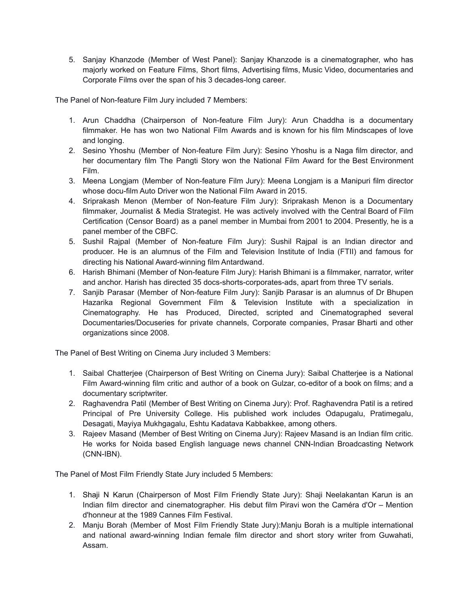5. Sanjay Khanzode (Member of West Panel): Sanjay Khanzode is a cinematographer, who has majorly worked on Feature Films, Short films, Advertising films, Music Video, documentaries and Corporate Films over the span of his 3 decades-long career.

The Panel of Non-feature Film Jury included 7 Members:

- 1. Arun Chaddha (Chairperson of Non-feature Film Jury): Arun Chaddha is a documentary filmmaker. He has won two National Film Awards and is known for his film Mindscapes of love and longing.
- 2. Sesino Yhoshu (Member of Non-feature Film Jury): Sesino Yhoshu is a Naga film director, and her documentary film The Pangti Story won the National Film Award for the Best Environment Film.
- 3. Meena Longjam (Member of Non-feature Film Jury): Meena Longjam is a Manipuri film director whose docu-film Auto Driver won the National Film Award in 2015.
- 4. Sriprakash Menon (Member of Non-feature Film Jury): Sriprakash Menon is a Documentary filmmaker, Journalist & Media Strategist. He was actively involved with the Central Board of Film Certification (Censor Board) as a panel member in Mumbai from 2001 to 2004. Presently, he is a panel member of the CBFC.
- 5. Sushil Rajpal (Member of Non-feature Film Jury): Sushil Rajpal is an Indian director and producer. He is an alumnus of the Film and Television Institute of India (FTII) and famous for directing his National Award-winning film Antardwand.
- 6. Harish Bhimani (Member of Non-feature Film Jury): Harish Bhimani is a filmmaker, narrator, writer and anchor. Harish has directed 35 docs-shorts-corporates-ads, apart from three TV serials.
- 7. Sanjib Parasar (Member of Non-feature Film Jury): Sanjib Parasar is an alumnus of Dr Bhupen Hazarika Regional Government Film & Television Institute with a specialization in Cinematography. He has Produced, Directed, scripted and Cinematographed several Documentaries/Docuseries for private channels, Corporate companies, Prasar Bharti and other organizations since 2008.

The Panel of Best Writing on Cinema Jury included 3 Members:

- 1. Saibal Chatterjee (Chairperson of Best Writing on Cinema Jury): Saibal Chatterjee is a National Film Award-winning film critic and author of a book on Gulzar, co-editor of a book on films; and a documentary scriptwriter.
- 2. Raghavendra Patil (Member of Best Writing on Cinema Jury): Prof. Raghavendra Patil is a retired Principal of Pre University College. His published work includes Odapugalu, Pratimegalu, Desagati, Mayiya Mukhgagalu, Eshtu Kadatava Kabbakkee, among others.
- 3. Rajeev Masand (Member of Best Writing on Cinema Jury): Rajeev Masand is an Indian film critic. He works for Noida based English language news channel CNN-Indian Broadcasting Network (CNN-IBN).

The Panel of Most Film Friendly State Jury included 5 Members:

- 1. Shaji N Karun (Chairperson of Most Film Friendly State Jury): Shaji Neelakantan Karun is an Indian film director and cinematographer. His debut film Piravi won the Caméra d'Or – Mention d'honneur at the 1989 Cannes Film Festival.
- 2. Manju Borah (Member of Most Film Friendly State Jury):Manju Borah is a multiple international and national award-winning Indian female film director and short story writer from Guwahati, Assam.